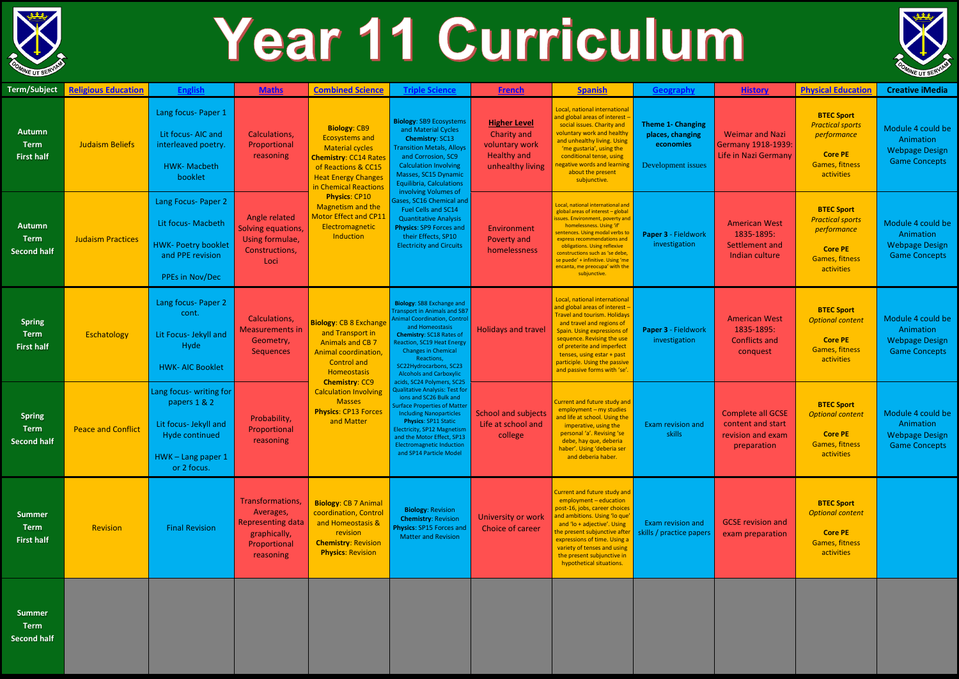

## Year 11 Curriculum

| <b>Term/Subject</b>                                | <b>Religious Education</b> | <b>English</b>                                                                                                        | <b>Maths</b>                                                                                                                   | <b>Combined Science</b>                                                                                                                                                              | <b>Triple Science</b>                                                                                                                                                                                                                                                                                                                                                                                                                                                                                                                                                                                                                                  | <b>French</b>                                                                                  | <b>Spanish</b>                                                                                                                                                                                                                                                                                                                                                     | <b>Geography</b>                                                                | <b>History</b>                                                                    | <b>Physical Education</b>                                                                                            | <b>Creative iMedia</b>                                                          |
|----------------------------------------------------|----------------------------|-----------------------------------------------------------------------------------------------------------------------|--------------------------------------------------------------------------------------------------------------------------------|--------------------------------------------------------------------------------------------------------------------------------------------------------------------------------------|--------------------------------------------------------------------------------------------------------------------------------------------------------------------------------------------------------------------------------------------------------------------------------------------------------------------------------------------------------------------------------------------------------------------------------------------------------------------------------------------------------------------------------------------------------------------------------------------------------------------------------------------------------|------------------------------------------------------------------------------------------------|--------------------------------------------------------------------------------------------------------------------------------------------------------------------------------------------------------------------------------------------------------------------------------------------------------------------------------------------------------------------|---------------------------------------------------------------------------------|-----------------------------------------------------------------------------------|----------------------------------------------------------------------------------------------------------------------|---------------------------------------------------------------------------------|
| <b>Autumn</b><br><b>Term</b><br><b>First half</b>  | <b>Judaism Beliefs</b>     | Lang focus- Paper 1<br>Lit focus- AIC and<br>interleaved poetry.<br><b>HWK-Macbeth</b><br>booklet                     | Calculations,<br>Proportional<br>reasoning<br>Angle related<br>Solving equations,<br>Using formulae,<br>Constructions,<br>Loci | <b>Biology: CB9</b><br><b>Ecosystems and</b><br><b>Material cycles</b><br><b>Chemistry: CC14 Rates</b><br>of Reactions & CC15<br><b>Heat Energy Changes</b><br>in Chemical Reactions | <b>Biology: SB9 Ecosystems</b><br>and Material Cycles<br><b>Chemistry: SC13</b><br><b>Transition Metals, Alloys</b><br>and Corrosion, SC9<br><b>Calculation Involving</b><br>Masses, SC15 Dynamic<br><b>Equilibria, Calculations</b>                                                                                                                                                                                                                                                                                                                                                                                                                   | <b>Higher Level</b><br>Charity and<br>voluntary work<br><b>Healthy and</b><br>unhealthy living | Local, national international<br>and global areas of interest<br>social issues. Charity and<br>voluntary work and healthy<br>and unhealthy living. Using<br>'me gustaria', using the<br>conditional tense, using<br>negative words and learnin<br>about the present<br>subjunctive.                                                                                | <b>Theme 1- Changing</b><br>places, changing<br>economies<br>Development issues | <b>Weimar and Nazi</b><br><b>Germany 1918-1939:</b><br>Life in Nazi Germany       | <b>BTEC Sport</b><br><b>Practical sports</b><br>performance<br><b>Core PE</b><br><b>Games, fitness</b><br>activities | Module 4 could be<br>Animation<br><b>Webpage Design</b><br><b>Game Concepts</b> |
| <b>Autumn</b><br><b>Term</b><br><b>Second half</b> | <b>Judaism Practices</b>   | Lang Focus- Paper 2<br>Lit focus- Macbeth<br><b>HWK- Poetry booklet</b><br>and PPE revision<br>PPEs in Nov/Dec        |                                                                                                                                | <b>Physics: CP10</b><br>Magnetism and the<br><b>Motor Effect and CP11</b><br>Electromagnetic<br>Induction                                                                            | involving Volumes of<br>Gases, SC16 Chemical and<br><b>Fuel Cells and SC14</b><br><b>Quantitative Analysis</b><br>Physics: SP9 Forces and<br>their Effects, SP10<br><b>Electricity and Circuits</b>                                                                                                                                                                                                                                                                                                                                                                                                                                                    | Environment<br>Poverty and<br>homelessness                                                     | Local, national international and<br>global areas of interest - global<br>issues. Environment, poverty and<br>homelessness. Using 'if'<br>sentences. Using modal verbs to<br>express recommendations and<br>obligations. Using reflexive<br>constructions such as 'se debe,<br>se puede' + infinitive. Using 'me<br>encanta, me preocupa' with the<br>subjunctive. | Paper 3 - Fieldwork<br>investigation                                            | <b>American West</b><br>1835-1895:<br>Settlement and<br>Indian culture            | <b>BTEC Sport</b><br><b>Practical sports</b><br>performance<br><b>Core PE</b><br><b>Games, fitness</b><br>activities | Module 4 could be<br>Animation<br><b>Webpage Design</b><br><b>Game Concepts</b> |
| <b>Spring</b><br><b>Term</b><br><b>First half</b>  | Eschatology                | Lang focus- Paper 2<br>cont.<br>Lit Focus- Jekyll and<br>Hyde<br><b>HWK- AIC Booklet</b>                              | <b>Calculations,</b><br><b>Measurements in</b><br>Geometry,<br>Sequences                                                       | <b>Biology: CB 8 Exchange</b><br>and Transport in<br><b>Animals and CB 7</b><br>Animal coordination,<br><b>Control and</b><br>Homeostasis                                            | <b>Biology: SB8 Exchange and</b><br><b>Transport in Animals and SB7</b><br><b>Animal Coordination, Control</b><br>and Homeostasis<br><b>Chemistry: SC18 Rates of</b><br><b>Reaction, SC19 Heat Energy</b><br><b>Changes in Chemical</b><br>Reactions,<br>SC22Hydrocarbons, SC23<br><b>Alcohols and Carboxylic</b><br>acids, SC24 Polymers, SC25<br><b>Qualitative Analysis: Test for</b><br>ions and SC26 Bulk and<br><b>Surface Properties of Matter</b><br><b>Including Nanoparticles</b><br><b>Physics: SP11 Static</b><br>Electricity, SP12 Magnetism<br>and the Motor Effect, SP13<br><b>Electromagnetic Induction</b><br>and SP14 Particle Model | <b>Holidays and travel</b>                                                                     | Local, national international<br>and global areas of interest<br><b>Travel and tourism. Holidays</b><br>and travel and regions of<br>Spain. Using expressions of<br>sequence. Revising the use<br>of preterite and imperfect<br>tenses, using estar + past<br>participle. Using the passive<br>and passive forms with 'se'.                                        | Paper 3 - Fieldwork<br>investigation                                            | <b>American West</b><br>1835-1895:<br><b>Conflicts and</b><br>conquest            | <b>BTEC Sport</b><br><b>Optional content</b><br><b>Core PE</b><br><b>Games, fitness</b><br>activities                | Module 4 could be<br>Animation<br><b>Webpage Design</b><br><b>Game Concepts</b> |
| <b>Spring</b><br><b>Term</b><br><b>Second half</b> | <b>Peace and Conflict</b>  | Lang focus- writing for<br>papers 1 & 2<br>Lit focus- Jekyll and<br>Hyde continued<br>HWK-Lang paper 1<br>or 2 focus. | Probability,<br>Proportional<br>reasoning                                                                                      | <b>Chemistry: CC9</b><br><b>Calculation Involving</b><br><b>Masses</b><br><b>Physics: CP13 Forces</b><br>and Matter                                                                  |                                                                                                                                                                                                                                                                                                                                                                                                                                                                                                                                                                                                                                                        | School and subjects<br>Life at school and<br>college                                           | Current and future study and<br>employment - my studies<br>and life at school. Using the<br>imperative, using the<br>personal 'a'. Revising 'se<br>debe, hay que, deberia<br>haber'. Using 'deberia ser<br>and deberia haber.                                                                                                                                      | Exam revision and<br>skills                                                     | <b>Complete all GCSE</b><br>content and start<br>revision and exam<br>preparation | <b>BTEC Sport</b><br><b>Optional content</b><br><b>Core PE</b><br>Games, fitness<br>activities                       | Module 4 could be<br>Animation<br><b>Webpage Design</b><br><b>Game Concepts</b> |
| <b>Summer</b><br><b>Term</b><br><b>First half</b>  | Revision                   | <b>Final Revision</b>                                                                                                 | Transformations,<br>Averages,<br><b>Representing data</b><br>graphically,<br>Proportional<br>reasoning                         | <b>Biology: CB 7 Animal</b><br>coordination, Control<br>and Homeostasis &<br>revision<br><b>Chemistry: Revision</b><br><b>Physics: Revision</b>                                      | <b>Biology: Revision</b><br><b>Chemistry: Revision</b><br>Physics: SP15 Forces and<br><b>Matter and Revision</b>                                                                                                                                                                                                                                                                                                                                                                                                                                                                                                                                       | University or work<br>Choice of career                                                         | <b>Current and future study and</b><br>employment - education<br>post-16, jobs, career choices<br>and ambitions. Using 'lo que'<br>and 'lo + adjective'. Using<br>the present subjunctive after<br>expressions of time. Using a<br>variety of tenses and using<br>the present subjunctive in<br>hypothetical situations.                                           | Exam revision and<br>skills / practice papers                                   | <b>GCSE</b> revision and<br>exam preparation                                      | <b>BTEC Sport</b><br><b>Optional content</b><br><b>Core PE</b><br><b>Games, fitness</b><br>activities                |                                                                                 |
|                                                    |                            |                                                                                                                       |                                                                                                                                |                                                                                                                                                                                      |                                                                                                                                                                                                                                                                                                                                                                                                                                                                                                                                                                                                                                                        |                                                                                                |                                                                                                                                                                                                                                                                                                                                                                    |                                                                                 |                                                                                   |                                                                                                                      |                                                                                 |